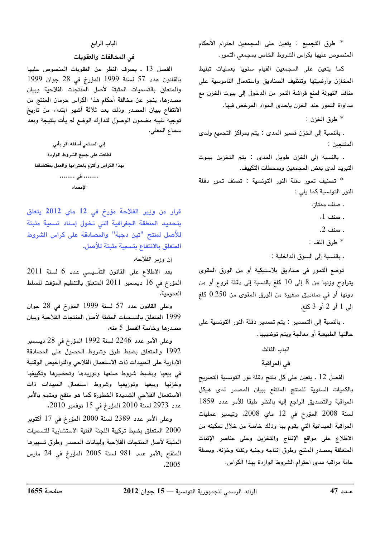\* طرق التجميع : يتعين على المجمعين احترام الأحكام المنصوص عليها بكراس الشروط الخاص بمجمعى التمور.

كما يتعين على المجمعين القيام سنويا بعمليات تبليط المخازن وأرضيتها وتنظيف الصناديق واستعمال الناموسية على منافذ التهوئة لمنع فراشة التمر من الدخول إلى بيوت الخزن مع مداواة التمور عند الخزن بإحدى المواد المرخص فيها.

طرق الخزن :  $*$ 

. بالنسبة إلى الخزن قصير المدى : يتم بمراكز التجميع ولدى المنتجين :

. بالنسبة إلى الخزن طويل المدى : يتم التخزين ببيوت التبريد لدى بعض المجمعين وبمحطات التكييف.

\* تصنيف تمور دقلة النور التونسية : تصنف تمور دقلة النور التونسية كما يلي :

. صنف ممتاز،

- . صنف 1،
- . صنف 2.
- \* طرق اللف :

. بالنسبة إلى السوق الداخلية :

توضع التمور في صناديق بلاستيكية أو من الورق المقوى يتراوح وزنها من 8 إلى 10 كلغ بالنسبة إلى دقلة فروع أو من دونها أو في صناديق صغيرة من الورق المقوى من 0.250 كلغ إلى 1 أو 2 أو 3 كلغ.

. بالنسبة إلى التصدير : يتم تصدير دقلة النور التونسية على حالتها الطبيعية أو معالجة ويتم توضيبها.

# الباب الثالث

# في المراقبة

الفصل 12 ـ يتعين على كل منتج دقلة نور التونسية التصريح بالكميات السنوية للمنتج المنتفع ببيان المصدر لدى هيكل المراقبة والتصديق الراجع إليه بالنظر طبقا للأمر عدد 1859 لسنة 2008 المؤرخ في 12 ماي 2008، وتيسير عمليات المراقبة الميدانية التي يقوم بها وذلك خاصة من خلال تمكينه من الاطلاع على مواقع الإنتاج والتخزين وعلى عناصر الإثبات المتعلقة بمصدر المنتج وطرق إنتاجه وجنيه ونقله وخزنه. وبصفة عامة مراقبة مدى احترام الشروط الواردة بهذا الكراس.

#### الباب الرابع

### في المخالفات والعقوبات

الفصل 13 . بصرف النظر عن العقوبات المنصوص عليها بالقانون عدد 57 لسنة 1999 المؤرخ في 28 جوان 1999 والمتعلق بالتسميات المثبتة لأصل المنتجات الفلاحية وبيان مصدرها، ينجر عن مخالفة أحكام هذا الكراس حرمان المنتج من الانتفاع ببيان المصدر وذلك بعد ثلاثة أشهر ابتداء من تاريخ توجيه تنبيه مضمون الوصول لتدارك الوضع لم يأت بنتيجة وبعد سماع المعنى.

إنى الممضى أسفله اقر بأنى اطلعت على جميع الشروط الواردة بهذا الكراس وألتزم باحترامها والعمل بمقتضاها ........ في ........ الإمضاء

قرار من وزير الفلاحة مؤرخ فى 12 ماي 2012 يتعلق

بتحديد المنطقة الجغرافية التى تخول إسناد تسمية مثبتة للأصل لمنتج "تين دجبة" والمصادقة على كراس الشروط المتعلق بالانتفاع بتسمية مثبتة للأصل.

إن وزير الفلاحة،

بعد الاطلاع على القانون التأسيسي عدد 6 لسنة 2011 المؤرخ في 16 ديسمبر 2011 المتعلق بالتنظيم المؤقت للسلط العمومية،

وعلى القانون عدد 57 لسنة 1999 المؤرخ في 28 جوان 1999 المتعلق بالتسميات المثبتة لأصل المنتجات الفلاحية وبيان مصدرها وخاصة الفصل 5 منه،

وعلى الأمر عدد 2246 لسنة 1992 المؤرخ في 28 ديسمبر 1992 والمتعلق بضبط طرق وشروط الحصول على المصادقة الإدارية على المبيدات ذات الاستعمال الفلاحي والتراخيص الوقتية في بيعها وبضبط شروط صنعها وتوريدها وتحضيرها وتكييفها وخزنها وبيعها وتوزيعها وشروط استعمال المبيدات ذات الاستعمال الفلاحي الشديدة الخطورة كما هو منقح ومتمم بالأمر عدد 2973 لسنة 2010 المؤرخ في 15 نوفمبر 2010.

وعلى الأمر عدد 2389 لسنة 2000 المؤرخ في 17 أكتوبر 2000 المتعلق بضبط تركيبة اللجنة الفنية الاستشارية للتسميات المثبتة لأصل المنتجات الفلاحية ولبيانات المصدر وطرق تسبيرها المنقح بالأمر عدد 981 لسنة 2005 المؤرخ في 24 مارس  $.2005$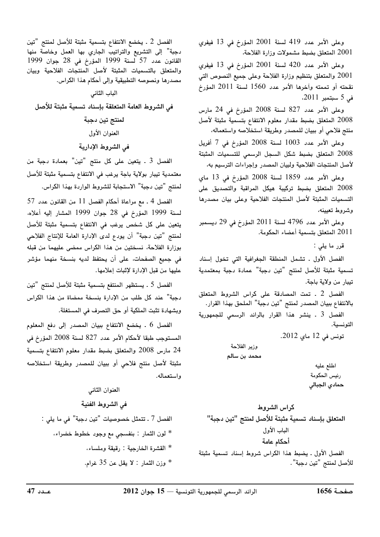وعلى الأمر عدد 419 لسنة 2001 المؤرخ في 13 فيفري 2001 المتعلق بضبط مشمولات وزارة الفلاحة،

وعلى الأمر عدد 420 لسنة 2001 المؤرخ في 13 فيفرى 2001 والمتعلق بتنظيم وزارة الفلاحة وعلى جميع النصوص التي نقحته أو تممته وآخرها الأمر عدد 1560 لسنة 2011 المؤرخ في 5 سبتمبر 2011،

وعلى الأمر عدد 827 لسنة 2008 المؤرخ في 24 مارس 2008 المتعلق بضبط مقدار معلوم الانتفاع بتسمية مثبتة لأصل منتج فلاحي أو ببيان للمصدر وطريقة استخلاصه واستعماله،

وعلى الأمر عدد 1003 لسنة 2008 المؤرخ في 7 أفريل 2008 المتعلق بضبط شكل السجل الرسمى للتسميات المثبتة لأصل المنتجات الفلاحية ولبيان المصدر وإجراءات الترسيم به،

وعلى الأمر عدد 1859 لسنة 2008 المؤرخ في 13 ماي 2008 المتعلق بضبط تركيبة هيكل المراقبة والتصديق على التسميات المثبتة لأصل المنتجات الفلاحية وعلى بيان مصدرها وشروط تعيينه،

وعلى الأمر عدد 4796 لسنة 2011 المؤرخ في 29 ديسمبر 2011 المتعلق بتسمية أعضاء الحكومة.

قرر ما يلي :

الفصل الأول . تشمل المنطقة الجغرافية التي تخول إسناد تسمية مثبتة للأصل لمنتج "تين دجبة" عمادة دجبة بمعتمدية تيبار من ولاية باجة.

الفصل 2 . تمت المصادقة على كراس الشروط المتعلق بالانتفاع ببيان المصدر لمنتج "تين دجبة" الملحق بهذا القرار.

الفصل 3 ـ ينشر هذا القرار بالرائد الرسمى للجمهورية التونسية.

تونس في 12 ماي 2012.

وزير الفلاحة محمد بن سالم

> اطلع عليه رئيس الحكومة حمادي الجبالى

كراس الشروط المتعلق بإسناد تسمية مثبتة للأصل لمنتج "تين دجبة" الباب الأول أحكام عامة الفصل الأول . يضبط هذا الكراس شروط إسناد تسمية مثبتة للأصل لمنتج "تين دجبة".

في الشروط الفنية

الفصل 2 . يخضع الانتفاع بتسمية مثبتة للأصل لمنتج "تين دجبة" إلى التشريع والتراتيب الجاري بها العمل وخاصة منها القانون عدد 57 لسنة 1999 المؤرخ في 28 جوان 1999 والمتعلق بالتسميات المثبتة لأصل المنتجات الفلاحية وبيان مصدرها ونصوصه التطبيقية وإلى أحكام هذا الكراس.

الباب الثاني في الشروط العامة المتعلقة بإسناد تسمية مثبتة للأصل لمنتج تين دجبة العنوان الأول

في الشروط الإدارية

الفصل 3 ـ يتعين على كل منتج "تين" بعمادة دجبة من معتمدية تيبار بولاية باجة يرغب في الانتفاع بتسمية مثبتة للأصل لمنتج "تين دجبة" الاستجابة للشروط الواردة بهذا الكراس.

الفصل 4 ـ مع مراعاة أحكام الفصل 11 من القانون عدد 57 لسنة 1999 المؤرخ في 28 جوان 1999 المشار إليه أعلاه، يتعين على كل شخص يرغب في الانتفاع بتسمية مثبتة للأصل لمنتج "تين دجبة" أن يودع لدى الإدارة العامة للإنتاج الفلاحي بوزارة الفلاحة، نسختين من هذا الكراس ممضى عليهما من قبله في جميع الصفحات، على أن يحتفظ لديه بنسخة منهما مؤشر عليها من قبل الإدارة لإثبات إعلامها.

الفصل 5 ـ يستظهر المنتفع بتسمية مثبتة للأصل لمنتج "تين دجبة" عند كل طلب من الإدارة بنسخة ممضاة من هذا الكراس وبشهادة تثبت الملكية أو حق التصرف في المستغلة.

الفصل 6 . يخضع الانتفاع ببيان المصدر إلى دفع المعلوم المستوجب طبقا لأحكام الأمر عدد 827 لسنة 2008 المؤرخ في 24 مارس 2008 والمتعلق بضبط مقدار معلوم الانتفاع بتسمية مثبتة لأصل منتج فلاحى أو ببيان للمصدر وطريقة استخلاصه واستعماله.

العنوان الثاني الفصل 7 ـ تتمثل خصوصيات "تين دجبة" في ما يلي : \* لون الثمار : بنفسجي مع وجود خطوط خضراء، \* القشرة الخارجية : رقيقة وملساء، \* وزن الثمار : لا يقل عن 35 غرام.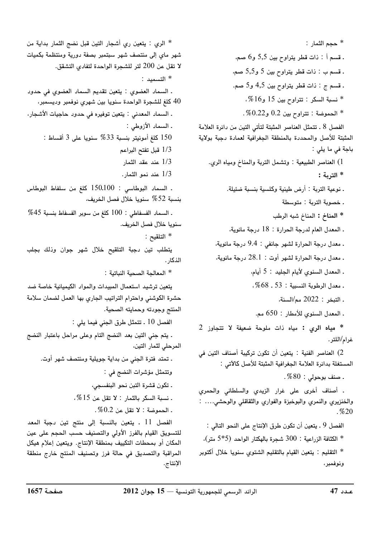\* حجم الثمار : . قسم أ : ذات قطر يتراوح بين 5,5 و6 صم، . قسم ب : ذات قطر يتراوح بين 5 و5,5 صم، ۔ قسم ج : ذات قطر يتراوح بين 4,5 و5 صم. نسبة السكر : تتراوح بين 15 و16%،  $\,$  $0.22$ الحموضة : تتراوح بين  $0.2$  و $0.22$ . الفصل 8 ـ تتمثل العناصر المثبتة لتأتى التين من دائرة العلامة المثبتة للأصل والمحددة بالمنطقة الجغرافية لعمادة دجبة بولاية باجة في ما يلي : 1) العناصر الطبيعية : وتشمل التربة والمناخ ومياه الري. \* التربة : . نوعية التربة : أرض طينية وكلسية بنسبة ضئيلة. . خصوبة التربة : متوسطة \* المناخ : المناخ شبه الرطب . المعدل العام لدرجة الحرارة : 18 درجة مائوية، ـ معدل درجة الحرارة لشهر جانفي : 9.4 درجة مائوية، . معدل درجة الحرارة لشهر أوت : 28.1 درجة مائوية، . المعدل السنوي لأيام الجليد : 5 أيام، . معدل الرطوبة النسبية : 53 ـ 68%، . التبخر : 2022 مم/السنة، ـ المعدل السنوي للأمطار : 650 مم. \* مياه الرى : مياه ذات ملوحة ضعيفة لا تتجاوز 2 غرام/اللتر. 2) العناصر الفنية : يتعين أن تكون تركيبة أصناف التين في المستغلة بدائرة العلامة الجغرافية المثبتة للأصل كالآتي : . صنف بوحولي $0.30$  .

. أصناف أخرى على غرار الزيدي والسلطاني والحمري والخنزيري والنمري والبوخبزة والفواري والثقاقلي والوحشى.... :  $. \%20$ 

الفصل 9 ـ يتعين أن تكون طرق الإنتاج على النحو التالي : \* الكثافة الزراعية : 300 شجرة بالهكتار الواحد (5\*5 متر)، \* التقليم : يتعين القيام بالتقليم الشتوى سنويا خلال أكتوبر ونوفمبر،

\* الري : يتعين ري أشجار التين قبل نضج الثمار بداية من شهر مای إلی منتصف شهر سبتمبر بصفة دورية ومنتظمة بكميات لا تقل عن 200 لتر للشجرة الواحدة لتفادى التشقق. \* التسميد : ـ السماد العضوى : يتعين تقديم السماد العضوي في حدود كلغ للشجرة الواحدة سنويا بين شهري نوفمبر وديسمبر،  $40\,$ ـ السماد المعدنى : يتعين توفيره فى حدود حاجيات الأشجار، ـ السماد الأزوطي : 150 كلغ أمونيتر بنسبة 33% سنويا على 3 أقساط : 1/3 قبل تفتح البراعم 1/3 عند عقد الثمار 1/3 عند نمو الثمار. . السماد البوطاسي : 150.100 كلغ من سلفاط البوطاس بنسبة 52 % سنويا خلال فصل الخريف، . السماد الفسفاطي : 100 كلغ من سوبر الفسفاط بنسبة 45% سنويا خلال فصل الخريف. \* التلقيح : يتطلب تين دجبة التلقيح خلال شهر جوان وذلك بجلب الذكار . \* المعالجة الصحية النباتية : يتعين ترشيد استعمال المبيدات والمواد الكيميائية خاصة ضد حشرة الكوشني واحترام التراتيب الجاري بها العمل لضمان سلامة المنتج وجودته وحمايته الصحية. الفصل 10 . تتمثل طرق الجني فيما يلي : . يتم جني التين بعد النضج التام وعلى مراحل باعتبار النضج المرحلي لثمار التين، . تمتد فترة الجني من بداية جويلية ومنتصف شهر أوت. وتتمثل مؤشرات النضج في : ـ تكون قشرة التبن نحو البنفسجي،  $. %$ نسبة السكر بالثمار : لا تقل عن 15 .  $0.2$  . الحموضة: لا تقل عن  $0.2$  . الفصل 11 . يتعين بالنسبة إلى منتج تين دجبة المعد للتسويق القيام بالفرز الأولى والتصنيف حسب الحجم على عين المكان أو بمحطات التكييف بمنطقة الإنتاج. ويتعين إعلام هيكل المراقبة والتصديق في حالة فرز وتصنيف المنتج خارج منطقة الإنتاج.